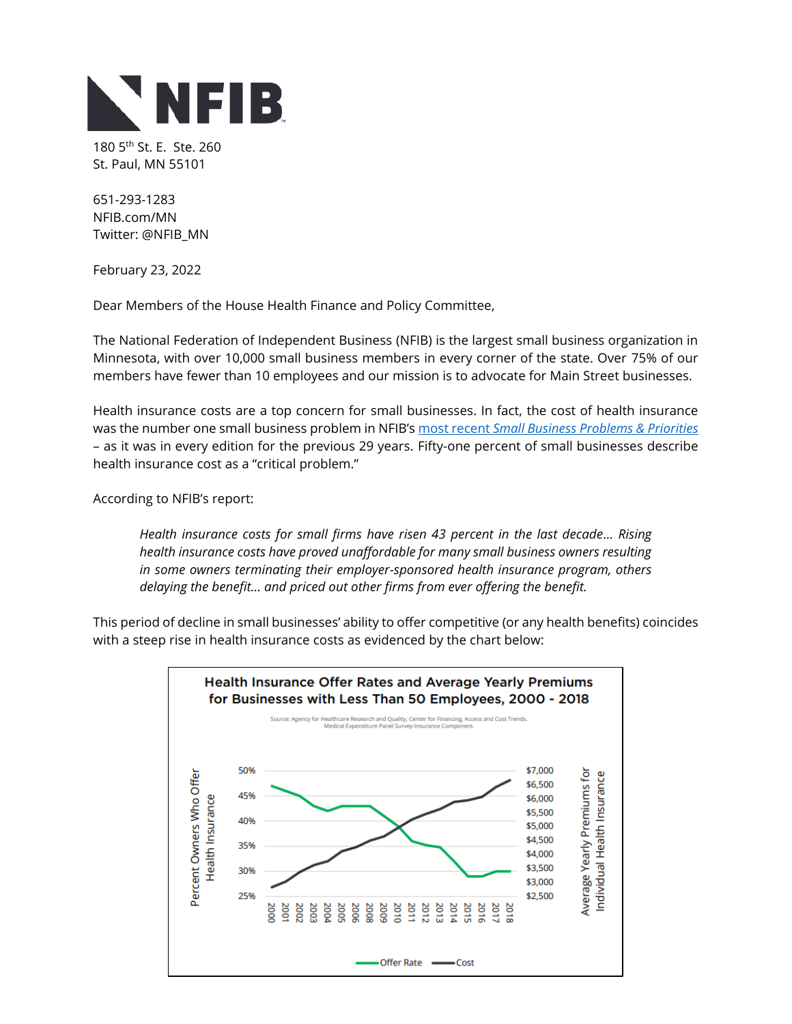

180 5<sup>th</sup> St. E. Ste. 260 St. Paul, MN 55101

651-293-1283 NFIB.com/MN Twitter: @NFIB\_MN

February 23, 2022

Dear Members of the House Health Finance and Policy Committee,

The National Federation of Independent Business (NFIB) is the largest small business organization in Minnesota, with over 10,000 small business members in every corner of the state. Over 75% of our members have fewer than 10 employees and our mission is to advocate for Main Street businesses.

Health insurance costs are a top concern for small businesses. In fact, the cost of health insurance was the number one small business problem in NFIB's most recent *[Small Business Problems & Priorities](https://assets.nfib.com/nfibcom/NFIB-Problems-and-Priorities-2020.pdf)* – as it was in every edition for the previous 29 years. Fifty-one percent of small businesses describe health insurance cost as a "critical problem."

According to NFIB's report:

*Health insurance costs for small firms have risen 43 percent in the last decade… Rising health insurance costs have proved unaffordable for many small business owners resulting in some owners terminating their employer-sponsored health insurance program, others delaying the benefit… and priced out other firms from ever offering the benefit.* 

This period of decline in small businesses' ability to offer competitive (or any health benefits) coincides with a steep rise in health insurance costs as evidenced by the chart below: